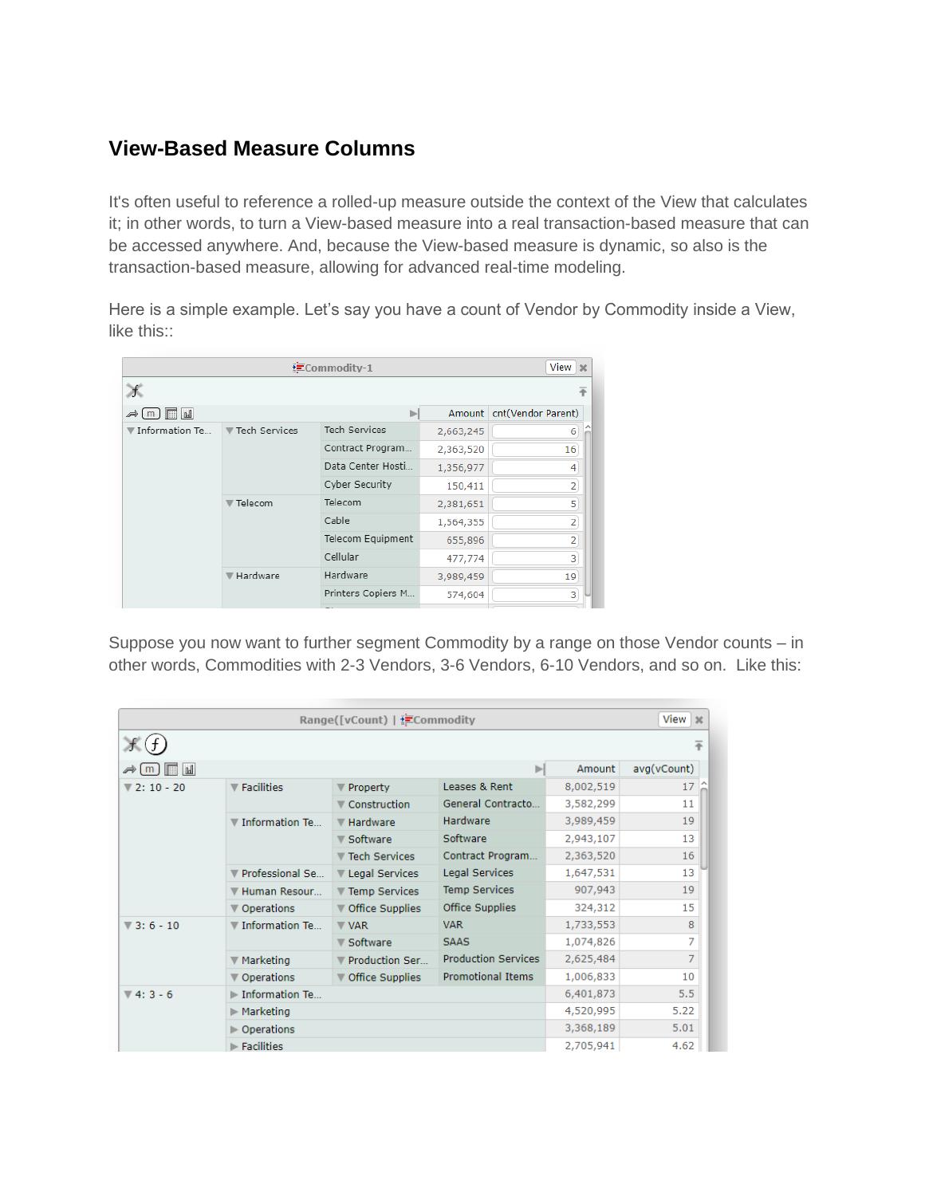## **View-Based Measure Columns**

It's often useful to reference a rolled-up measure outside the context of the View that calculates it; in other words, to turn a View-based measure into a real transaction-based measure that can be accessed anywhere. And, because the View-based measure is dynamic, so also is the transaction-based measure, allowing for advanced real-time modeling.

Here is a simple example. Let's say you have a count of Vendor by Commodity inside a View, like this::

| View $\vert x \vert$<br><b>ECommodity-1</b> |                 |                      |           |                    |  |  |
|---------------------------------------------|-----------------|----------------------|-----------|--------------------|--|--|
| ‰ø<br>Æ                                     |                 |                      |           |                    |  |  |
| H<br>  <sub>1</sub><br>Þ<br>m               |                 | Þ                    | Amount    | cnt(Vendor Parent) |  |  |
| ▼ Information Te                            | ▼ Tech Services | <b>Tech Services</b> | 2,663,245 | 6                  |  |  |
|                                             |                 | Contract Program     | 2,363,520 | 16                 |  |  |
|                                             |                 | Data Center Hosti    | 1,356,977 | 4                  |  |  |
|                                             |                 | Cyber Security       | 150,411   | $\overline{2}$     |  |  |
|                                             | ▼ Telecom       | Telecom              | 2,381,651 | 5                  |  |  |
|                                             |                 | Cable                | 1,564,355 | $\overline{2}$     |  |  |
|                                             |                 | Telecom Equipment    | 655,896   | $\overline{2}$     |  |  |
|                                             |                 | Cellular             | 477,774   | 3                  |  |  |
|                                             | ▼ Hardware      | Hardware             | 3,989,459 | 19                 |  |  |
|                                             |                 | Printers Copiers M   | 574,604   | 3                  |  |  |
|                                             |                 |                      |           |                    |  |  |

Suppose you now want to further segment Commodity by a range on those Vendor counts – in other words, Commodities with 2-3 Vendors, 3-6 Vendors, 6-10 Vendors, and so on. Like this:

| $View \geq$<br>Range([vCount)   ECommodity |                                  |                   |                            |           |             |  |
|--------------------------------------------|----------------------------------|-------------------|----------------------------|-----------|-------------|--|
|                                            |                                  |                   |                            |           | 苹           |  |
| <sub>u</sub>   <br>圖<br>⊿⇒lml              |                                  |                   | ь                          | Amount    | avg(vCount) |  |
| $V 2: 10 - 20$                             | $\blacktriangledown$ Facilities  | Property          | Leases & Rent              | 8,002,519 | 17          |  |
|                                            |                                  | ▼ Construction    | General Contracto          | 3,582,299 | 11          |  |
|                                            | ▼ Information Te                 | <b>₩</b> Hardware | Hardware                   | 3,989,459 | 19          |  |
|                                            |                                  | Software          | Software                   | 2,943,107 | 13          |  |
|                                            |                                  | ▼ Tech Services   | Contract Program           | 2,363,520 | 16          |  |
|                                            | Professional Se                  | ▼ Legal Services  | <b>Legal Services</b>      | 1,647,531 | 13          |  |
|                                            | ▼ Human Resour                   | ▼ Temp Services   | <b>Temp Services</b>       | 907,943   | 19          |  |
|                                            | ▼ Operations                     | ▼ Office Supplies | <b>Office Supplies</b>     | 324,312   | 15          |  |
| $\sqrt{3}$ : 6 - 10                        | $\nabla$ Information Te          | $\nabla$ VAR      | <b>VAR</b>                 | 1,733,553 | 8           |  |
|                                            |                                  | ▼ Software        | <b>SAAS</b>                | 1,074,826 | 7           |  |
|                                            | ▼ Marketing                      | Production Ser    | <b>Production Services</b> | 2,625,484 | 7           |  |
|                                            | ▼ Operations                     | ▼ Office Supplies | <b>Promotional Items</b>   | 1,006,833 | 10          |  |
| $\Psi$ 4: 3 - 6                            | Information Te                   |                   |                            | 6,401,873 | 5.5         |  |
|                                            | $\blacktriangleright$ Marketing  |                   |                            | 4,520,995 | 5.22        |  |
|                                            | ⊩ Operations                     |                   |                            | 3,368,189 | 5.01        |  |
|                                            | $\blacktriangleright$ Facilities |                   |                            | 2,705,941 | 4.62        |  |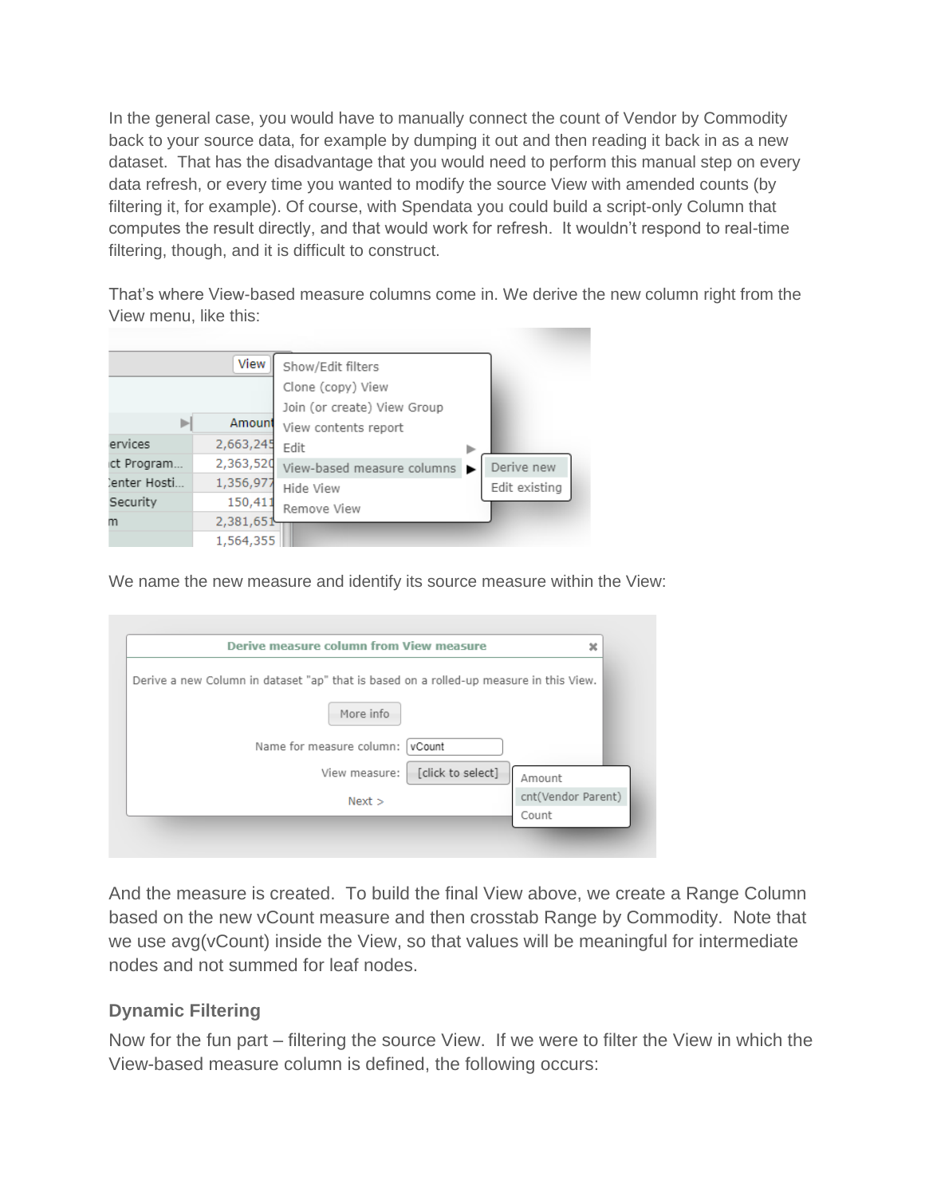In the general case, you would have to manually connect the count of Vendor by Commodity back to your source data, for example by dumping it out and then reading it back in as a new dataset. That has the disadvantage that you would need to perform this manual step on every data refresh, or every time you wanted to modify the source View with amended counts (by filtering it, for example). Of course, with Spendata you could build a script-only Column that computes the result directly, and that would work for refresh. It wouldn't respond to real-time filtering, though, and it is difficult to construct.

That's where View-based measure columns come in. We derive the new column right from the View menu, like this:



We name the new measure and identify its source measure within the View:

| ×                  | Derive measure column from View measure                                                |
|--------------------|----------------------------------------------------------------------------------------|
|                    | Derive a new Column in dataset "ap" that is based on a rolled-up measure in this View. |
|                    | More info                                                                              |
|                    | Name for measure column:<br>vCount                                                     |
| Amount             | [click to select]<br>View measure:                                                     |
| cnt(Vendor Parent) | Next                                                                                   |
| Count              |                                                                                        |

And the measure is created. To build the final View above, we create a Range Column based on the new vCount measure and then crosstab Range by Commodity. Note that we use avg(vCount) inside the View, so that values will be meaningful for intermediate nodes and not summed for leaf nodes.

## **Dynamic Filtering**

Now for the fun part – filtering the source View. If we were to filter the View in which the View-based measure column is defined, the following occurs: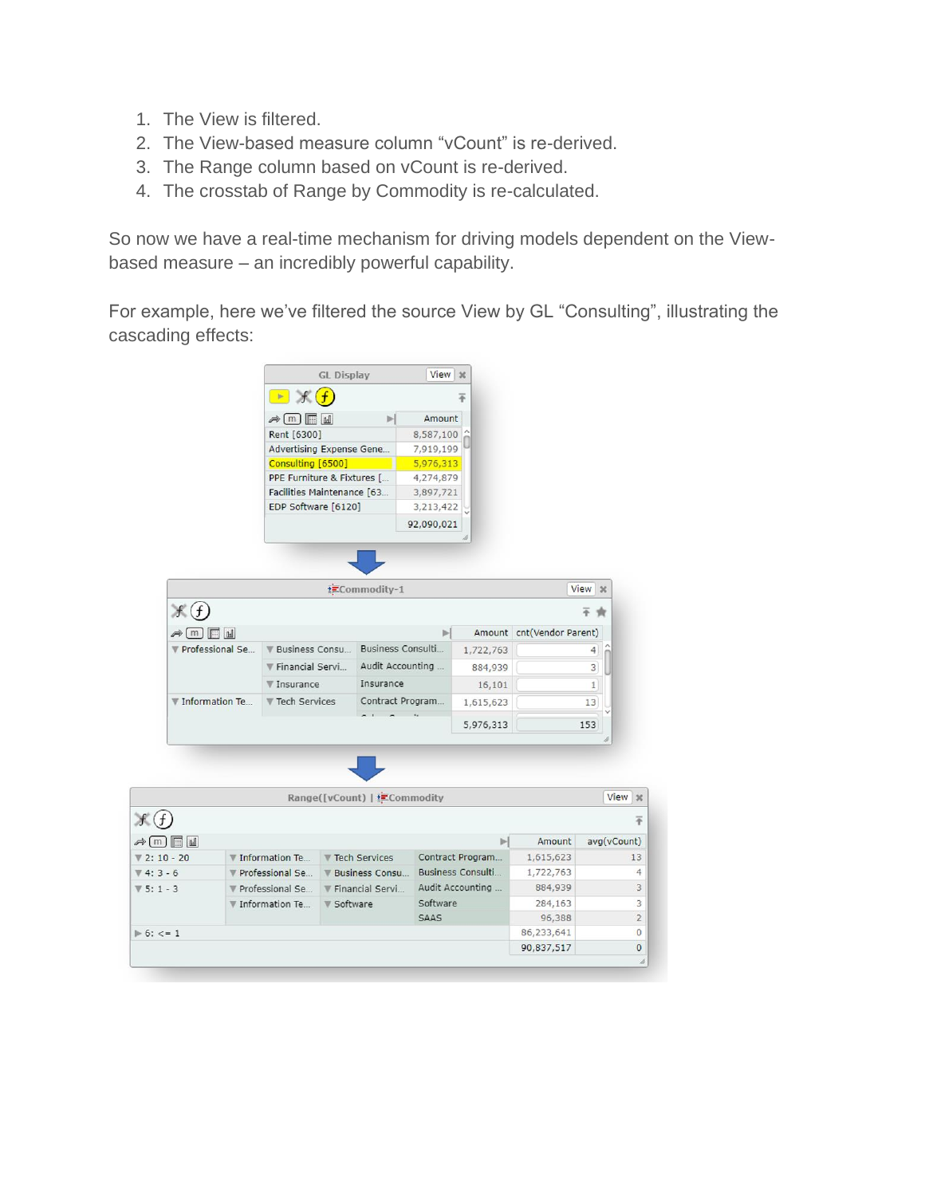- 1. The View is filtered.
- 2. The View-based measure column "vCount" is re-derived.
- 3. The Range column based on vCount is re-derived.
- 4. The crosstab of Range by Commodity is re-calculated.

So now we have a real-time mechanism for driving models dependent on the Viewbased measure – an incredibly powerful capability.

For example, here we've filtered the source View by GL "Consulting", illustrating the cascading effects:

|                                                 |                   | <b>GL Display</b>                                    |                         | View   %                              |                          |                           |             |                                |
|-------------------------------------------------|-------------------|------------------------------------------------------|-------------------------|---------------------------------------|--------------------------|---------------------------|-------------|--------------------------------|
|                                                 |                   | $\rightarrow$ f(f)                                   |                         |                                       | Ŧ                        |                           |             |                                |
|                                                 |                   | $\Rightarrow$ [m] $\Box$ M                           | ы                       | Amount                                |                          |                           |             |                                |
|                                                 | Rent [6300]       |                                                      |                         | 8,587,100                             |                          |                           |             |                                |
|                                                 |                   | Advertising Expense Gene                             |                         | 7,919,199                             |                          |                           |             |                                |
|                                                 |                   | Consulting [6500]                                    |                         | 5,976,313                             |                          |                           |             |                                |
|                                                 |                   | PPE Furniture & Fixtures [                           |                         | 4,274,879                             |                          |                           |             |                                |
|                                                 |                   | Facilities Maintenance [63                           |                         | 3,897,721                             |                          |                           |             |                                |
|                                                 |                   | EDP Software [6120]                                  |                         | 3,213,422                             |                          |                           |             |                                |
|                                                 |                   |                                                      |                         | 92,090,021                            |                          |                           |             |                                |
|                                                 |                   |                                                      |                         |                                       |                          |                           |             |                                |
|                                                 |                   |                                                      |                         |                                       |                          |                           |             |                                |
|                                                 |                   |                                                      |                         |                                       |                          |                           |             |                                |
|                                                 |                   |                                                      | ECommodity-1            |                                       |                          |                           | View 30     |                                |
|                                                 |                   |                                                      |                         |                                       |                          |                           |             |                                |
| $\mathcal{F}(f)$                                |                   |                                                      |                         |                                       |                          |                           |             |                                |
| $\rightarrow (m)$ $\blacksquare$ $\blacksquare$ |                   |                                                      |                         | ы                                     |                          | Amount cnt(Vendor Parent) |             |                                |
| ▼ Professional Se                               |                   | <b>V Business Consu</b>                              | Business Consulti       |                                       | 1,722,763                |                           | 4           |                                |
|                                                 |                   | <b>W</b> Financial Servi<br>Insurance<br>▼ Insurance |                         | Audit Accounting<br>884,939<br>16,101 |                          |                           | 3           |                                |
|                                                 |                   |                                                      |                         |                                       |                          | $\mathbf{1}$              |             |                                |
| ▼ Information Te                                |                   | <b>Tech Services</b>                                 | Contract Program        |                                       | 1,615,623                |                           | 13          |                                |
|                                                 |                   |                                                      |                         |                                       |                          |                           |             |                                |
|                                                 |                   |                                                      |                         |                                       | 5,976,313                |                           | 153         |                                |
|                                                 |                   |                                                      |                         |                                       |                          |                           |             |                                |
|                                                 |                   |                                                      |                         |                                       |                          |                           |             |                                |
|                                                 |                   |                                                      |                         |                                       |                          |                           |             |                                |
|                                                 |                   |                                                      |                         |                                       |                          |                           |             |                                |
|                                                 |                   |                                                      |                         |                                       |                          |                           |             |                                |
|                                                 |                   | Range([vCount)   ECommodity                          |                         |                                       |                          |                           |             |                                |
|                                                 |                   |                                                      |                         |                                       |                          |                           |             | View   %<br>Ŧ                  |
|                                                 |                   |                                                      |                         |                                       | Þ.                       |                           |             |                                |
| $\ast$ (m) $\Box$ all                           |                   |                                                      |                         |                                       |                          | Amount                    | avg(vCount) |                                |
| $72:10 - 20$                                    | ▼ Information Te  |                                                      | ▼ Tech Services         |                                       | Contract Program         | 1,615,623                 |             |                                |
| $\P(4:3-6)$                                     | ▼ Professional Se |                                                      | <b>V</b> Business Consu |                                       | <b>Business Consulti</b> | 1,722,763                 |             |                                |
| $V 5: 1 - 3$                                    | ▼ Professional Se |                                                      | Financial Servi         |                                       | Audit Accounting         | 884,939                   |             |                                |
|                                                 | ▼ Information Te  | ▼ Software                                           |                         | Software                              |                          | 284,163                   |             | 13<br>$\overline{4}$<br>3<br>3 |
| 6: < 1                                          |                   |                                                      |                         | <b>SAAS</b>                           |                          | 96,388<br>86,233,641      |             | $\overline{2}$<br>$\mathbf{0}$ |